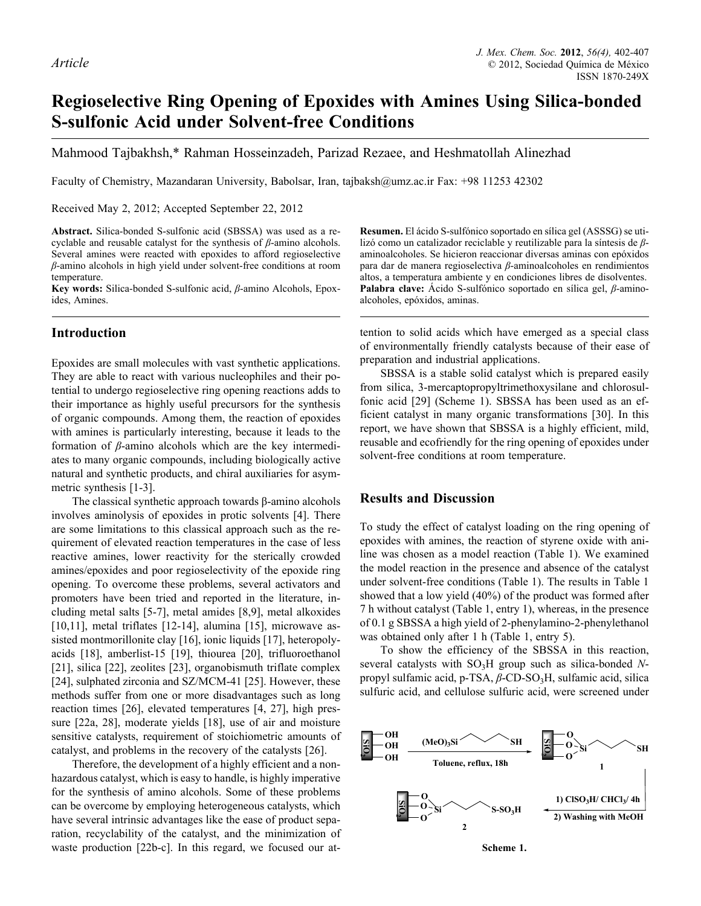# **Regioselective Ring Opening of Epoxides with Amines Using Silica-bonded S-sulfonic Acid under Solvent-free Conditions**

Mahmood Tajbakhsh,\* Rahman Hosseinzadeh, Parizad Rezaee, and Heshmatollah Alinezhad

Faculty of Chemistry, Mazandaran University, Babolsar, Iran, tajbaksh@umz.ac.ir Fax: +98 11253 42302

Received May 2, 2012; Accepted September 22, 2012

**Abstract.** Silica-bonded S-sulfonic acid (SBSSA) was used as a recyclable and reusable catalyst for the synthesis of *β*-amino alcohols. Several amines were reacted with epoxides to afford regioselective *β*-amino alcohols in high yield under solvent-free conditions at room temperature.

**Key words:** Silica-bonded S-sulfonic acid, *β*-amino Alcohols, Epoxides, Amines.

# **Introduction**

Epoxides are small molecules with vast synthetic applications. They are able to react with various nucleophiles and their potential to undergo regioselective ring opening reactions adds to their importance as highly useful precursors for the synthesis of organic compounds. Among them, the reaction of epoxides with amines is particularly interesting, because it leads to the formation of *β*-amino alcohols which are the key intermediates to many organic compounds, including biologically active natural and synthetic products, and chiral auxiliaries for asymmetric synthesis [1-3].

The classical synthetic approach towards β-amino alcohols involves aminolysis of epoxides in protic solvents [4]. There are some limitations to this classical approach such as the requirement of elevated reaction temperatures in the case of less reactive amines, lower reactivity for the sterically crowded amines/epoxides and poor regioselectivity of the epoxide ring opening. To overcome these problems, several activators and promoters have been tried and reported in the literature, including metal salts [5-7], metal amides [8,9], metal alkoxides  $[10,11]$ , metal triflates  $[12-14]$ , alumina  $[15]$ , microwave assisted montmorillonite clay [16], ionic liquids [17], heteropolyacids [18], amberlist-15 [19], thiourea [20], trifluoroethanol [21], silica [22], zeolites [23], organobismuth triflate complex [24], sulphated zirconia and SZ/MCM-41 [25]. However, these methods suffer from one or more disadvantages such as long reaction times [26], elevated temperatures [4, 27], high pressure [22a, 28], moderate yields [18], use of air and moisture sensitive catalysts, requirement of stoichiometric amounts of catalyst, and problems in the recovery of the catalysts [26].

Therefore, the development of a highly efficient and a nonhazardous catalyst, which is easy to handle, is highly imperative for the synthesis of amino alcohols. Some of these problems can be overcome by employing heterogeneous catalysts, which have several intrinsic advantages like the ease of product separation, recyclability of the catalyst, and the minimization of waste production [22b-c]. In this regard, we focused our at**Resumen.** El ácido S-sulfónico soportado en sílica gel (ASSSG) se utilizó como un catalizador reciclable y reutilizable para la síntesis de *β*aminoalcoholes. Se hicieron reaccionar diversas aminas con epóxidos para dar de manera regioselectiva *β*-aminoalcoholes en rendimientos altos, a temperatura ambiente y en condiciones libres de disolventes. **Palabra clave:** Ácido S-sulfónico soportado en sílica gel, *β*-aminoalcoholes, epóxidos, aminas.

tention to solid acids which have emerged as a special class of environmentally friendly catalysts because of their ease of preparation and industrial applications.

SBSSA is a stable solid catalyst which is prepared easily from silica, 3-mercaptopropyltrimethoxysilane and chlorosulfonic acid [29] (Scheme 1). SBSSA has been used as an efficient catalyst in many organic transformations [30]. In this report, we have shown that SBSSA is a highly efficient, mild, reusable and ecofriendly for the ring opening of epoxides under solvent-free conditions at room temperature.

#### **Results and Discussion**

To study the effect of catalyst loading on the ring opening of epoxides with amines, the reaction of styrene oxide with aniline was chosen as a model reaction (Table 1). We examined the model reaction in the presence and absence of the catalyst under solvent-free conditions (Table 1). The results in Table 1 showed that a low yield (40%) of the product was formed after 7 h without catalyst (Table 1, entry 1), whereas, in the presence of 0.1 g SBSSA a high yield of 2-phenylamino-2-phenylethanol was obtained only after 1 h (Table 1, entry 5).

To show the efficiency of the SBSSA in this reaction, several catalysts with SO<sub>3</sub>H group such as silica-bonded Npropyl sulfamic acid, p-TSA, *β*-CD-SO<sub>3</sub>H, sulfamic acid, silica sulfuric acid, and cellulose sulfuric acid, were screened under

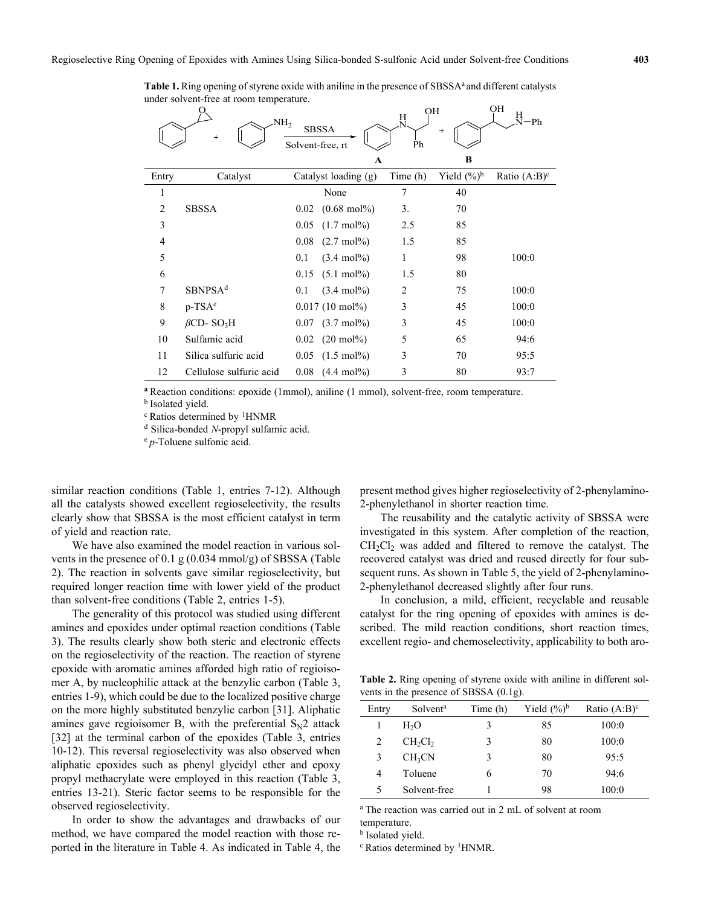**Table 1.** Ring opening of styrene oxide with aniline in the presence of SBSSA<sup>a</sup> and different catalysts under solvent-free at room temperature.

|                | NH <sub>2</sub><br>$^{+}$    | <b>SBSSA</b><br>Solvent-free, rt |                              | OН<br>뵸<br>Ph  | $^{+}$         | OH<br>Н<br>$-ph$ |
|----------------|------------------------------|----------------------------------|------------------------------|----------------|----------------|------------------|
|                |                              |                                  | $\mathbf{A}$                 |                | B              |                  |
| Entry          | Catalyst                     |                                  | Catalyst loading (g)         | Time (h)       | Yield $(\%)^b$ | Ratio $(A:B)^c$  |
| 1              |                              |                                  | None                         | 7              | 40             |                  |
| $\overline{2}$ | <b>SBSSA</b>                 | 0.02                             | $(0.68 \text{ mol\%})$       | 3.             | 70             |                  |
| 3              |                              | 0.05                             | $(1.7 \text{ mol})\%$        | 2.5            | 85             |                  |
| $\overline{4}$ |                              | 0.08                             | $(2.7 \text{ mol})\%$        | 1.5            | 85             |                  |
| 5              |                              | 0.1                              | $(3.4 \text{ mol})\%$        | 1              | 98             | 100:0            |
| 6              |                              |                                  | $0.15$ (5.1 mol%)            | 1.5            | 80             |                  |
| 7              | SBNPSA <sup>d</sup>          | 0.1                              | $(3.4 \text{ mol})\%$        | $\overline{2}$ | 75             | 100:0            |
| 8              | $p-TSAe$                     |                                  | $0.017(10 \text{ mol\%})$    | 3              | 45             | 100:0            |
| 9              | $\beta$ CD-SO <sub>3</sub> H |                                  | $0.07$ $(3.7 \text{ mol\%})$ | 3              | 45             | 100:0            |
| 10             | Sulfamic acid                |                                  | $0.02$ (20 mol%)             | 5              | 65             | 94:6             |
| 11             | Silica sulfuric acid         |                                  | $0.05$ $(1.5 \text{ mol\%})$ | 3              | 70             | 95:5             |
| 12             | Cellulose sulfuric acid      | 0.08                             | $(4.4 \text{ mol})\%$        | 3              | 80             | 93:7             |

**<sup>a</sup>**Reaction conditions: epoxide (1mmol), aniline (1 mmol), solvent-free, room temperature.

**b** Isolated yield.

<sup>c</sup> Ratios determined by 1HNMR

<sup>d</sup> Silica-bonded *N*-propyl sulfamic acid.

<sup>e</sup> *p*-Toluene sulfonic acid.

similar reaction conditions (Table 1, entries 7-12). Although all the catalysts showed excellent regioselectivity, the results clearly show that SBSSA is the most efficient catalyst in term of yield and reaction rate.

We have also examined the model reaction in various solvents in the presence of 0.1 g (0.034 mmol/g) of SBSSA (Table 2). The reaction in solvents gave similar regioselectivity, but required longer reaction time with lower yield of the product than solvent-free conditions (Table 2, entries 1-5).

The generality of this protocol was studied using different amines and epoxides under optimal reaction conditions (Table 3). The results clearly show both steric and electronic effects on the regioselectivity of the reaction. The reaction of styrene epoxide with aromatic amines afforded high ratio of regioisomer A, by nucleophilic attack at the benzylic carbon (Table 3, entries 1-9), which could be due to the localized positive charge on the more highly substituted benzylic carbon [31]. Aliphatic amines gave regioisomer B, with the preferential  $S_N^2$  attack [32] at the terminal carbon of the epoxides (Table 3, entries 10-12). This reversal regioselectivity was also observed when aliphatic epoxides such as phenyl glycidyl ether and epoxy propyl methacrylate were employed in this reaction (Table 3, entries 13-21). Steric factor seems to be responsible for the observed regioselectivity.

In order to show the advantages and drawbacks of our method, we have compared the model reaction with those reported in the literature in Table 4. As indicated in Table 4, the present method gives higher regioselectivity of 2-phenylamino-2-phenylethanol in shorter reaction time.

The reusability and the catalytic activity of SBSSA were investigated in this system. After completion of the reaction,  $CH<sub>2</sub>Cl<sub>2</sub>$  was added and filtered to remove the catalyst. The recovered catalyst was dried and reused directly for four subsequent runs. As shown in Table 5, the yield of 2-phenylamino-2-phenylethanol decreased slightly after four runs.

In conclusion, a mild, efficient, recyclable and reusable catalyst for the ring opening of epoxides with amines is described. The mild reaction conditions, short reaction times, excellent regio- and chemoselectivity, applicability to both aro-

**Table 2.** Ring opening of styrene oxide with aniline in different solvents in the presence of SBSSA (0.1g).

| Entry | Solvent <sup>a</sup>            | Time (h) | Yield $(\frac{6}{6})^b$ | Ratio $(A:B)^c$ |
|-------|---------------------------------|----------|-------------------------|-----------------|
|       | H <sub>2</sub> O                | 3        | 85                      | 100:0           |
|       | CH <sub>2</sub> Cl <sub>2</sub> | 3        | 80                      | 100:0           |
| 3     | CH <sub>3</sub> CN              | 3        | 80                      | 95:5            |
| 4     | Toluene                         | h        | 70                      | 94:6            |
|       | Solvent-free                    |          | 98                      | 100:0           |

<sup>a</sup> The reaction was carried out in 2 mL of solvent at room temperature.

**b** Isolated yield.

 $c$  Ratios determined by <sup>1</sup>HNMR.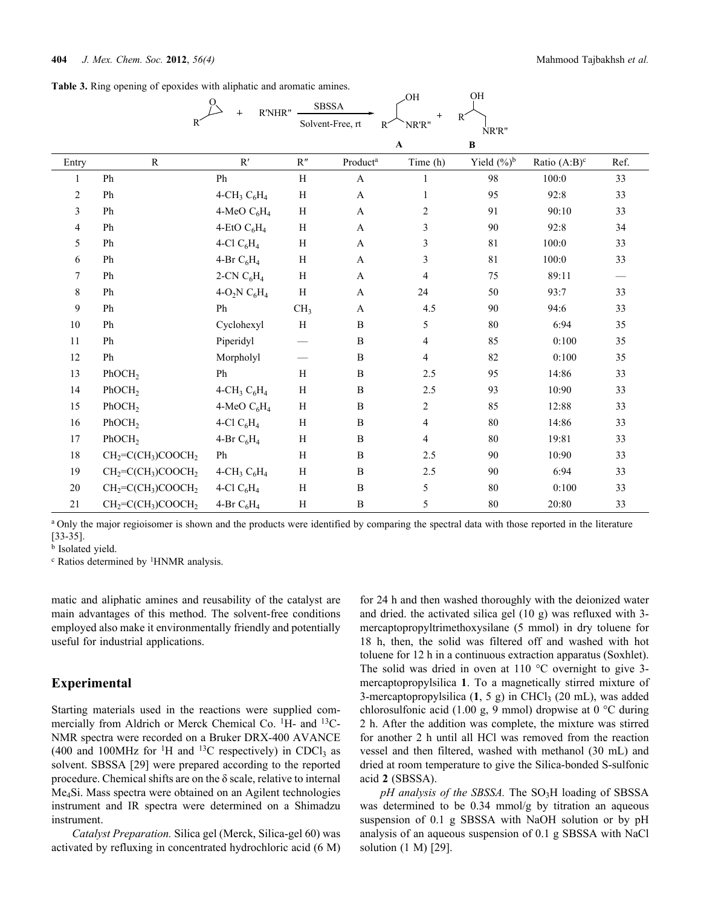|  |  |  |  | Table 3. Ring opening of epoxides with aliphatic and aromatic amines. |  |
|--|--|--|--|-----------------------------------------------------------------------|--|
|  |  |  |  |                                                                       |  |

|                |                    | R'NHR"<br>$+$               |                          | <b>SBSSA</b>              | UH              | ັ້             |                 |                               |
|----------------|--------------------|-----------------------------|--------------------------|---------------------------|-----------------|----------------|-----------------|-------------------------------|
|                |                    |                             |                          | Solvent-Free, rt<br>$R^2$ | $^{+}$<br>NR'R" | $R^2$<br>NR'R" |                 |                               |
|                |                    |                             |                          |                           | $\mathbf A$     | $\bf{B}$       |                 |                               |
| Entry          | $\mathbf R$        | $\mathbf{R}'$               | R''                      | Product <sup>a</sup>      | Time (h)        | Yield $(\%)^b$ | Ratio $(A:B)^c$ | Ref.                          |
| 1              | Ph                 | Ph                          | H                        | $\mathbf{A}$              | $\mathbf{1}$    | 98             | 100:0           | 33                            |
| $\overline{c}$ | Ph                 | 4-CH <sub>3</sub> $C_6H_4$  | $\, {\rm H}$             | $\boldsymbol{\rm{A}}$     | $\mathbf{1}$    | 95             | 92:8            | 33                            |
| 3              | Ph                 | 4-MeO $C_6H_4$              | H                        | $\mathbf{A}$              | 2               | 91             | 90:10           | 33                            |
| $\overline{4}$ | Ph                 | 4-EtO $C_6H_4$              | H                        | $\mathbf{A}$              | 3               | 90             | 92:8            | 34                            |
| 5              | Ph                 | 4-Cl $C_6H_4$               | H                        | $\mathbf{A}$              | 3               | 81             | 100:0           | 33                            |
| 6              | Ph                 | 4-Br $C_6H_4$               | H                        | A                         | 3               | 81             | 100:0           | 33                            |
| $\tau$         | Ph                 | 2-CN $C_6H_4$               | H                        | $\mathbf{A}$              | 4               | 75             | 89:11           | $\overbrace{\phantom{13333}}$ |
| 8              | Ph                 | 4-O <sub>2</sub> N $C_6H_4$ | H                        | $\mathbf{A}$              | 24              | 50             | 93:7            | 33                            |
| $\mathbf{9}$   | Ph                 | Ph                          | CH <sub>3</sub>          | A                         | 4.5             | 90             | 94:6            | 33                            |
| 10             | Ph                 | Cyclohexyl                  | $\, {\rm H}$             | $\, {\bf B}$              | 5               | 80             | 6:94            | 35                            |
| 11             | Ph                 | Piperidyl                   |                          | $\, {\bf B}$              | 4               | 85             | 0:100           | 35                            |
| 12             | Ph                 | Morpholyl                   | $\overline{\phantom{0}}$ | $\, {\bf B}$              | $\overline{4}$  | 82             | 0:100           | 35                            |
| 13             | PhOCH <sub>2</sub> | Ph                          | H                        | $\, {\bf B}$              | 2.5             | 95             | 14:86           | 33                            |
| 14             | PhOCH <sub>2</sub> | 4-CH <sub>3</sub> $C_6H_4$  | H                        | $\, {\bf B}$              | 2.5             | 93             | 10:90           | 33                            |
| 15             | PhOCH <sub>2</sub> | 4-MeO $C_6H_4$              | H                        | $\, {\bf B}$              | $\overline{2}$  | 85             | 12:88           | 33                            |
| 16             | PhOCH <sub>2</sub> | 4-Cl $C_6H_4$               | $\, {\rm H}$             | $\, {\bf B}$              | $\overline{4}$  | 80             | 14:86           | 33                            |
| 17             | PhOCH <sub>2</sub> | 4-Br $C_6H_4$               | H                        | $\, {\bf B}$              | $\overline{4}$  | 80             | 19:81           | 33                            |
| 18             | $CH2=C(CH3)COOCH2$ | Ph                          | H                        | $\, {\bf B}$              | 2.5             | 90             | 10:90           | 33                            |
| 19             | $CH2=C(CH3)COOCH2$ | 4-CH <sub>3</sub> $C_6H_4$  | H                        | $\, {\bf B}$              | 2.5             | 90             | 6:94            | 33                            |
| 20             | $CH2=C(CH3)COOCH2$ | 4-Cl $C_6H_4$               | H                        | $\, {\bf B}$              | 5               | 80             | 0:100           | 33                            |
| 21             | $CH2=C(CH3)COOCH2$ | 4-Br $C_6H_4$               | $\, {\rm H}$             | $\, {\bf B}$              | 5               | 80             | 20:80           | 33                            |

OH OH

<sup>a</sup> Only the major regioisomer is shown and the products were identified by comparing the spectral data with those reported in the literature [33-35].

**b** Isolated yield.

<sup>c</sup> Ratios determined by <sup>1</sup>HNMR analysis.

matic and aliphatic amines and reusability of the catalyst are main advantages of this method. The solvent-free conditions employed also make it environmentally friendly and potentially useful for industrial applications.

## **Experimental**

Starting materials used in the reactions were supplied commercially from Aldrich or Merck Chemical Co. <sup>1</sup>H- and <sup>13</sup>C-NMR spectra were recorded on a Bruker DRX-400 AVANCE (400 and 100MHz for <sup>1</sup>H and <sup>13</sup>C respectively) in CDCl<sub>3</sub> as solvent. SBSSA [29] were prepared according to the reported procedure. Chemical shifts are on the δ scale, relative to internal Me4Si. Mass spectra were obtained on an Agilent technologies instrument and IR spectra were determined on a Shimadzu instrument.

*Catalyst Preparation.* Silica gel (Merck, Silica-gel 60) was activated by refluxing in concentrated hydrochloric acid (6 M) for 24 h and then washed thoroughly with the deionized water and dried. the activated silica gel (10 g) was refluxed with 3 mercaptopropyltrimethoxysilane (5 mmol) in dry toluene for 18 h, then, the solid was filtered off and washed with hot toluene for 12 h in a continuous extraction apparatus (Soxhlet). The solid was dried in oven at 110 °C overnight to give 3mercaptopropylsilica **1**. To a magnetically stirred mixture of 3-mercaptopropylsilica  $(1, 5, g)$  in CHCl<sub>3</sub> (20 mL), was added chlorosulfonic acid (1.00 g, 9 mmol) dropwise at 0 °C during 2 h. After the addition was complete, the mixture was stirred for another 2 h until all HCl was removed from the reaction vessel and then filtered, washed with methanol (30 mL) and dried at room temperature to give the Silica-bonded S-sulfonic acid **2** (SBSSA).

*pH analysis of the SBSSA*. The SO<sub>3</sub>H loading of SBSSA was determined to be 0.34 mmol/g by titration an aqueous suspension of 0.1 g SBSSA with NaOH solution or by pH analysis of an aqueous suspension of 0.1 g SBSSA with NaCl solution (1 M) [29].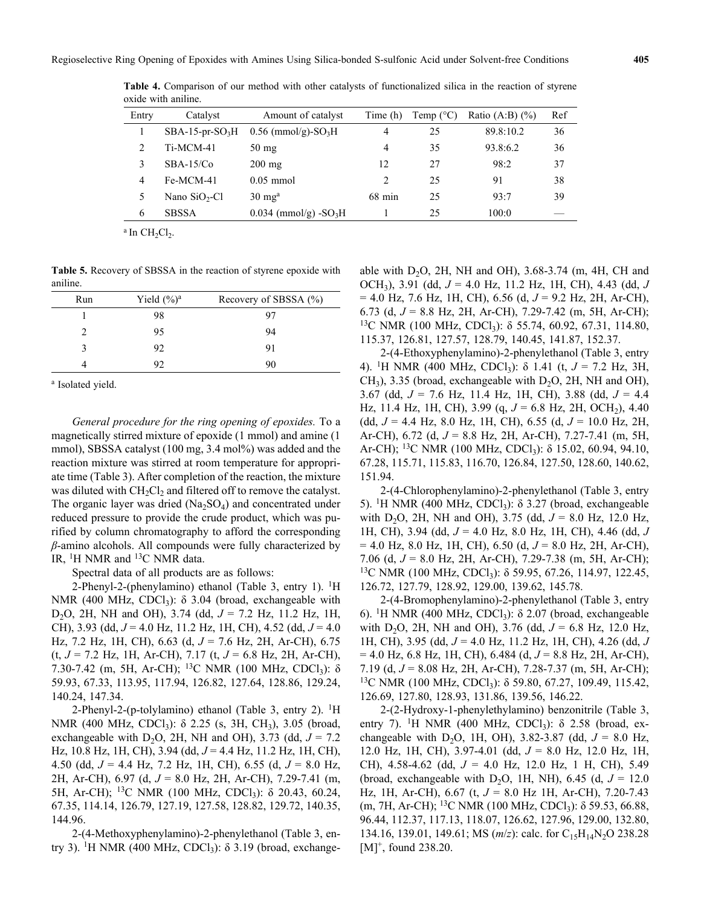| Entry | Catalyst         | Amount of catalyst                  | Time (h)         | Temp $(^{\circ}C)$ | Ratio $(A:B)$ $(\%)$ | Ref |
|-------|------------------|-------------------------------------|------------------|--------------------|----------------------|-----|
|       | $SBA-15-pr-SO3H$ | $0.56$ (mmol/g)-SO <sub>3</sub> H   | 4                | 25                 | 89.8:10.2            | 36  |
|       | Ti-MCM-41        | $50 \text{ mg}$                     | 4                | 35                 | 93.8:6.2             | 36  |
| 3     | $SBA-15/C0$      | $200$ mg                            | 12               | 27                 | 98:2                 | 37  |
| 4     | Fe-MCM-41        | $0.05$ mmol                         | 2                | 25                 | 91                   | 38  |
|       | Nano $SiO2-Cl$   | $30 \text{ mg}^{\text{a}}$          | $68 \text{ min}$ | 25                 | 93:7                 | 39  |
| 6     | <b>SBSSA</b>     | $0.034$ (mmol/g) -SO <sub>3</sub> H |                  | 25                 | 100:0                |     |

**Table 4.** Comparison of our method with other catalysts of functionalized silica in the reaction of styrene oxide with aniline.

 $a$  In  $CH_2Cl_2$ .

**Table 5.** Recovery of SBSSA in the reaction of styrene epoxide with aniline.

| Run | Yield $(\%)^a$ | Recovery of SBSSA (%) |
|-----|----------------|-----------------------|
|     | 98             |                       |
|     | 95             | 94                    |
|     | 92             | 91                    |
|     | 92             | 90                    |

a Isolated yield.

*General procedure for the ring opening of epoxides.* To a magnetically stirred mixture of epoxide (1 mmol) and amine (1 mmol), SBSSA catalyst (100 mg, 3.4 mol%) was added and the reaction mixture was stirred at room temperature for appropriate time (Table 3). After completion of the reaction, the mixture was diluted with  $CH_2Cl_2$  and filtered off to remove the catalyst. The organic layer was dried  $(Na_2SO_4)$  and concentrated under reduced pressure to provide the crude product, which was purified by column chromatography to afford the corresponding *β*-amino alcohols. All compounds were fully characterized by IR, 1H NMR and 13C NMR data.

Spectral data of all products are as follows:

2-Phenyl-2-(phenylamino) ethanol (Table 3, entry 1).  ${}^{1}$ H NMR (400 MHz, CDCl<sub>3</sub>):  $\delta$  3.04 (broad, exchangeable with D2O, 2H, NH and OH), 3.74 (dd, *J* = 7.2 Hz, 11.2 Hz, 1H, CH), 3.93 (dd, *J* = 4.0 Hz, 11.2 Hz, 1H, CH), 4.52 (dd, *J* = 4.0 Hz, 7.2 Hz, 1H, CH), 6.63 (d, *J* = 7.6 Hz, 2H, Ar-CH), 6.75 (t, *J* = 7.2 Hz, 1H, Ar-CH), 7.17 (t, *J* = 6.8 Hz, 2H, Ar-CH), 7.30-7.42 (m, 5H, Ar-CH); <sup>13</sup>C NMR (100 MHz, CDCl<sub>3</sub>): δ 59.93, 67.33, 113.95, 117.94, 126.82, 127.64, 128.86, 129.24, 140.24, 147.34.

2-Phenyl-2-(p-tolylamino) ethanol (Table 3, entry 2). <sup>1</sup>H NMR (400 MHz, CDCl<sub>3</sub>):  $\delta$  2.25 (s, 3H, CH<sub>3</sub>), 3.05 (broad, exchangeable with  $D_2O$ , 2H, NH and OH), 3.73 (dd,  $J = 7.2$ ) Hz, 10.8 Hz, 1H, CH), 3.94 (dd, *J* = 4.4 Hz, 11.2 Hz, 1H, CH), 4.50 (dd, *J* = 4.4 Hz, 7.2 Hz, 1H, CH), 6.55 (d, *J* = 8.0 Hz, 2H, Ar-CH), 6.97 (d, *J* = 8.0 Hz, 2H, Ar-CH), 7.29-7.41 (m, 5H, Ar-CH); <sup>13</sup>C NMR (100 MHz, CDCl<sub>3</sub>): δ 20.43, 60.24, 67.35, 114.14, 126.79, 127.19, 127.58, 128.82, 129.72, 140.35, 144.96.

2-(4-Methoxyphenylamino)-2-phenylethanol (Table 3, entry 3). <sup>1</sup>H NMR (400 MHz, CDCl<sub>3</sub>):  $\delta$  3.19 (broad, exchangeable with  $D_2O$ , 2H, NH and OH), 3.68-3.74 (m, 4H, CH and OCH3), 3.91 (dd, *J* = 4.0 Hz, 11.2 Hz, 1H, CH), 4.43 (dd, *J*  = 4.0 Hz, 7.6 Hz, 1H, CH), 6.56 (d, *J* = 9.2 Hz, 2H, Ar-CH), 6.73 (d, *J* = 8.8 Hz, 2H, Ar-CH), 7.29-7.42 (m, 5H, Ar-CH); <sup>13</sup>C NMR (100 MHz, CDCl<sub>3</sub>): δ 55.74, 60.92, 67.31, 114.80, 115.37, 126.81, 127.57, 128.79, 140.45, 141.87, 152.37.

2-(4-Ethoxyphenylamino)-2-phenylethanol (Table 3, entry 4). 1H NMR (400 MHz, CDCl3): δ 1.41 (t, *J* = 7.2 Hz, 3H,  $CH<sub>3</sub>$ ), 3.35 (broad, exchangeable with  $D<sub>2</sub>O$ , 2H, NH and OH), 3.67 (dd, *J* = 7.6 Hz, 11.4 Hz, 1H, CH), 3.88 (dd, *J* = 4.4 Hz, 11.4 Hz, 1H, CH), 3.99 (q, *J* = 6.8 Hz, 2H, OCH2), 4.40 (dd, *J* = 4.4 Hz, 8.0 Hz, 1H, CH), 6.55 (d, *J* = 10.0 Hz, 2H, Ar-CH), 6.72 (d, *J* = 8.8 Hz, 2H, Ar-CH), 7.27-7.41 (m, 5H, Ar-CH); <sup>13</sup>C NMR (100 MHz, CDCl<sub>3</sub>):  $\delta$  15.02, 60.94, 94.10, 67.28, 115.71, 115.83, 116.70, 126.84, 127.50, 128.60, 140.62, 151.94.

2-(4-Chlorophenylamino)-2-phenylethanol (Table 3, entry 5). <sup>1</sup>H NMR (400 MHz, CDCl<sub>3</sub>): δ 3.27 (broad, exchangeable with D2O, 2H, NH and OH), 3.75 (dd, *J* = 8.0 Hz, 12.0 Hz, 1H, CH), 3.94 (dd, *J* = 4.0 Hz, 8.0 Hz, 1H, CH), 4.46 (dd, *J*  = 4.0 Hz, 8.0 Hz, 1H, CH), 6.50 (d, *J* = 8.0 Hz, 2H, Ar-CH), 7.06 (d, *J* = 8.0 Hz, 2H, Ar-CH), 7.29-7.38 (m, 5H, Ar-CH); <sup>13</sup>C NMR (100 MHz, CDCl<sub>3</sub>): δ 59.95, 67.26, 114.97, 122.45, 126.72, 127.79, 128.92, 129.00, 139.62, 145.78.

2-(4-Bromophenylamino)-2-phenylethanol (Table 3, entry 6). <sup>1</sup>H NMR (400 MHz, CDCl<sub>3</sub>): δ 2.07 (broad, exchangeable with D2O, 2H, NH and OH), 3.76 (dd, *J* = 6.8 Hz, 12.0 Hz, 1H, CH), 3.95 (dd, *J* = 4.0 Hz, 11.2 Hz, 1H, CH), 4.26 (dd, *J*  = 4.0 Hz, 6.8 Hz, 1H, CH), 6.484 (d, *J* = 8.8 Hz, 2H, Ar-CH), 7.19 (d, *J* = 8.08 Hz, 2H, Ar-CH), 7.28-7.37 (m, 5H, Ar-CH); <sup>13</sup>C NMR (100 MHz, CDCl<sub>3</sub>): δ 59.80, 67.27, 109.49, 115.42, 126.69, 127.80, 128.93, 131.86, 139.56, 146.22.

2-(2-Hydroxy-1-phenylethylamino) benzonitrile (Table 3, entry 7). <sup>1</sup>H NMR (400 MHz, CDCl<sub>3</sub>):  $\delta$  2.58 (broad, exchangeable with D<sub>2</sub>O, 1H, OH), 3.82-3.87 (dd,  $J = 8.0$  Hz, 12.0 Hz, 1H, CH), 3.97-4.01 (dd, *J* = 8.0 Hz, 12.0 Hz, 1H, CH), 4.58-4.62 (dd, *J* = 4.0 Hz, 12.0 Hz, 1 H, CH), 5.49 (broad, exchangeable with  $D_2O$ , 1H, NH), 6.45 (d,  $J = 12.0$ Hz, 1H, Ar-CH), 6.67 (t, *J* = 8.0 Hz 1H, Ar-CH), 7.20-7.43 (m, 7H, Ar-CH); <sup>13</sup>C NMR (100 MHz, CDCl<sub>3</sub>):  $\delta$  59.53, 66.88, 96.44, 112.37, 117.13, 118.07, 126.62, 127.96, 129.00, 132.80, 134.16, 139.01, 149.61; MS (*m*/*z*): calc. for C<sub>15</sub>H<sub>14</sub>N<sub>2</sub>O 238.28</sub>  $[M]^{+}$ , found 238.20.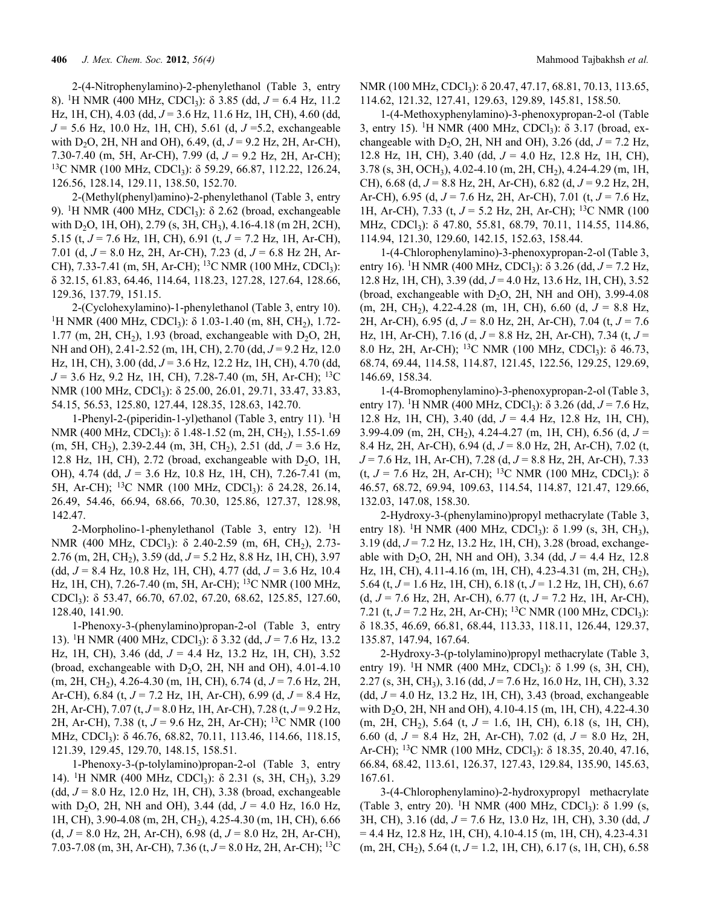2-(4-Nitrophenylamino)-2-phenylethanol (Table 3, entry 8). 1H NMR (400 MHz, CDCl3): δ 3.85 (dd, *J* = 6.4 Hz, 11.2 Hz, 1H, CH), 4.03 (dd, *J* = 3.6 Hz, 11.6 Hz, 1H, CH), 4.60 (dd, *J* = 5.6 Hz, 10.0 Hz, 1H, CH), 5.61 (d, *J* =5.2, exchangeable with D2O, 2H, NH and OH), 6.49, (d, *J* = 9.2 Hz, 2H, Ar-CH), 7.30-7.40 (m, 5H, Ar-CH), 7.99 (d, *J* = 9.2 Hz, 2H, Ar-CH); <sup>13</sup>C NMR (100 MHz, CDCl<sub>3</sub>): δ 59.29, 66.87, 112.22, 126.24, 126.56, 128.14, 129.11, 138.50, 152.70.

2-(Methyl(phenyl)amino)-2-phenylethanol (Table 3, entry 9). <sup>1</sup>H NMR (400 MHz, CDCl<sub>3</sub>):  $\delta$  2.62 (broad, exchangeable with D<sub>2</sub>O, 1H, OH), 2.79 (s, 3H, CH<sub>3</sub>), 4.16-4.18 (m 2H, 2CH), 5.15 (t, *J* = 7.6 Hz, 1H, CH), 6.91 (t, *J =* 7.2 Hz, 1H, Ar-CH), 7.01 (d, *J* = 8.0 Hz, 2H, Ar-CH), 7.23 (d, *J* = 6.8 Hz 2H, Ar-CH), 7.33-7.41 (m, 5H, Ar-CH); <sup>13</sup>C NMR (100 MHz, CDCl<sub>3</sub>): δ 32.15, 61.83, 64.46, 114.64, 118.23, 127.28, 127.64, 128.66, 129.36, 137.79, 151.15.

2-(Cyclohexylamino)-1-phenylethanol (Table 3, entry 10). <sup>1</sup>H NMR (400 MHz, CDCl<sub>3</sub>): δ 1.03-1.40 (m, 8H, CH<sub>2</sub>), 1.72-1.77 (m, 2H, CH<sub>2</sub>), 1.93 (broad, exchangeable with D<sub>2</sub>O, 2H, NH and OH), 2.41-2.52 (m, 1H, CH), 2.70 (dd,  $J = 9.2$  Hz, 12.0 Hz, 1H, CH), 3.00 (dd, *J* = 3.6 Hz, 12.2 Hz, 1H, CH), 4.70 (dd, *J* = 3.6 Hz, 9.2 Hz, 1H, CH), 7.28-7.40 (m, 5H, Ar-CH); 13C NMR (100 MHz, CDCl<sub>3</sub>): δ 25.00, 26.01, 29.71, 33.47, 33.83, 54.15, 56.53, 125.80, 127.44, 128.35, 128.63, 142.70.

1-Phenyl-2-(piperidin-1-yl)ethanol (Table 3, entry 11). 1H NMR (400 MHz, CDCl<sub>3</sub>): δ 1.48-1.52 (m, 2H, CH<sub>2</sub>), 1.55-1.69 (m, 5H, CH<sub>2</sub>), 2.39-2.44 (m, 3H, CH<sub>2</sub>), 2.51 (dd,  $J = 3.6$  Hz, 12.8 Hz, 1H, CH), 2.72 (broad, exchangeable with  $D_2O$ , 1H, OH), 4.74 (dd, *J* = 3.6 Hz, 10.8 Hz, 1H, CH), 7.26-7.41 (m, 5H, Ar-CH); <sup>13</sup>C NMR (100 MHz, CDCl<sub>3</sub>): δ 24.28, 26.14, 26.49, 54.46, 66.94, 68.66, 70.30, 125.86, 127.37, 128.98, 142.47.

2-Morpholino-1-phenylethanol (Table 3, entry 12). <sup>1</sup>H NMR (400 MHz, CDCl<sub>3</sub>): δ 2.40-2.59 (m, 6H, CH<sub>2</sub>), 2.73-2.76 (m, 2H, CH<sub>2</sub>), 3.59 (dd, J = 5.2 Hz, 8.8 Hz, 1H, CH), 3.97 (dd, *J* = 8.4 Hz, 10.8 Hz, 1H, CH), 4.77 (dd, *J* = 3.6 Hz, 10.4 Hz, 1H, CH), 7.26-7.40 (m, 5H, Ar-CH); 13C NMR (100 MHz, CDCl3): δ 53.47, 66.70, 67.02, 67.20, 68.62, 125.85, 127.60, 128.40, 141.90.

1-Phenoxy-3-(phenylamino)propan-2-ol (Table 3, entry 13). 1H NMR (400 MHz, CDCl3): δ 3.32 (dd, *J* = 7.6 Hz, 13.2 Hz, 1H, CH), 3.46 (dd, *J* = 4.4 Hz, 13.2 Hz, 1H, CH), 3.52 (broad, exchangeable with  $D_2O$ , 2H, NH and OH), 4.01-4.10 (m, 2H, CH<sub>2</sub>), 4.26-4.30 (m, 1H, CH), 6.74 (d, J = 7.6 Hz, 2H, Ar-CH), 6.84 (t, *J* = 7.2 Hz, 1H, Ar-CH), 6.99 (d, *J* = 8.4 Hz, 2H, Ar-CH), 7.07 (t, *J* = 8.0 Hz, 1H, Ar-CH), 7.28 (t, *J* = 9.2 Hz, 2H, Ar-CH), 7.38 (t, *J* = 9.6 Hz, 2H, Ar-CH); 13C NMR (100 MHz, CDCl<sub>3</sub>): δ 46.76, 68.82, 70.11, 113.46, 114.66, 118.15, 121.39, 129.45, 129.70, 148.15, 158.51.

1-Phenoxy-3-(p-tolylamino)propan-2-ol (Table 3, entry 14). <sup>1</sup>H NMR (400 MHz, CDCl<sub>3</sub>):  $\delta$  2.31 (s, 3H, CH<sub>3</sub>), 3.29 (dd, *J* = 8.0 Hz, 12.0 Hz, 1H, CH), 3.38 (broad, exchangeable with D<sub>2</sub>O, 2H, NH and OH), 3.44 (dd,  $J = 4.0$  Hz, 16.0 Hz, 1H, CH), 3.90-4.08 (m, 2H, CH<sub>2</sub>), 4.25-4.30 (m, 1H, CH), 6.66 (d, *J* = 8.0 Hz, 2H, Ar-CH), 6.98 (d, *J* = 8.0 Hz, 2H, Ar-CH), 7.03-7.08 (m, 3H, Ar-CH), 7.36 (t, *J* = 8.0 Hz, 2H, Ar-CH); 13C NMR (100 MHz, CDCl<sub>3</sub>): δ 20.47, 47.17, 68.81, 70.13, 113.65, 114.62, 121.32, 127.41, 129.63, 129.89, 145.81, 158.50.

1-(4-Methoxyphenylamino)-3-phenoxypropan-2-ol (Table 3, entry 15). <sup>1</sup>H NMR (400 MHz, CDCl<sub>3</sub>):  $\delta$  3.17 (broad, exchangeable with  $D_2O$ , 2H, NH and OH), 3.26 (dd,  $J = 7.2$  Hz, 12.8 Hz, 1H, CH), 3.40 (dd, *J* = 4.0 Hz, 12.8 Hz, 1H, CH), 3.78 (s, 3H, OCH3), 4.02-4.10 (m, 2H, CH2), 4.24-4.29 (m, 1H, CH), 6.68 (d, *J* = 8.8 Hz, 2H, Ar-CH), 6.82 (d, *J* = 9.2 Hz, 2H, Ar-CH), 6.95 (d, *J* = 7.6 Hz, 2H, Ar-CH), 7.01 (t, *J* = 7.6 Hz, 1H, Ar-CH), 7.33 (t, *J* = 5.2 Hz, 2H, Ar-CH); 13C NMR (100 MHz, CDCl<sub>3</sub>): δ 47.80, 55.81, 68.79, 70.11, 114.55, 114.86, 114.94, 121.30, 129.60, 142.15, 152.63, 158.44.

1-(4-Chlorophenylamino)-3-phenoxypropan-2-ol (Table 3, entry 16). <sup>1</sup>H NMR (400 MHz, CDCl<sub>3</sub>): δ 3.26 (dd, *J* = 7.2 Hz, 12.8 Hz, 1H, CH), 3.39 (dd, *J* = 4.0 Hz, 13.6 Hz, 1H, CH), 3.52 (broad, exchangeable with  $D_2O$ , 2H, NH and OH), 3.99-4.08 (m, 2H, CH<sub>2</sub>), 4.22-4.28 (m, 1H, CH), 6.60 (d,  $J = 8.8$  Hz, 2H, Ar-CH), 6.95 (d, *J* = 8.0 Hz, 2H, Ar-CH), 7.04 (t, *J* = 7.6 Hz, 1H, Ar-CH), 7.16 (d, *J* = 8.8 Hz, 2H, Ar-CH), 7.34 (t, *J* = 8.0 Hz, 2H, Ar-CH); <sup>13</sup>C NMR (100 MHz, CDCl<sub>3</sub>): δ 46.73, 68.74, 69.44, 114.58, 114.87, 121.45, 122.56, 129.25, 129.69, 146.69, 158.34.

1-(4-Bromophenylamino)-3-phenoxypropan-2-ol (Table 3, entry 17). <sup>1</sup>H NMR (400 MHz, CDCl<sub>3</sub>): δ 3.26 (dd, *J* = 7.6 Hz, 12.8 Hz, 1H, CH), 3.40 (dd, *J* = 4.4 Hz, 12.8 Hz, 1H, CH), 3.99-4.09 (m, 2H, CH2), 4.24-4.27 (m, 1H, CH), 6.56 (d, *J* = 8.4 Hz, 2H, Ar-CH), 6.94 (d, *J* = 8.0 Hz, 2H, Ar-CH), 7.02 (t, *J* = 7.6 Hz, 1H, Ar-CH), 7.28 (d, *J* = 8.8 Hz, 2H, Ar-CH), 7.33 (t,  $J = 7.6$  Hz, 2H, Ar-CH); <sup>13</sup>C NMR (100 MHz, CDCl<sub>3</sub>): δ 46.57, 68.72, 69.94, 109.63, 114.54, 114.87, 121.47, 129.66, 132.03, 147.08, 158.30.

2-Hydroxy-3-(phenylamino)propyl methacrylate (Table 3, entry 18). <sup>1</sup>H NMR (400 MHz, CDCl<sub>3</sub>): δ 1.99 (s, 3H, CH<sub>3</sub>), 3.19 (dd, *J* = 7.2 Hz, 13.2 Hz, 1H, CH), 3.28 (broad, exchangeable with D<sub>2</sub>O, 2H, NH and OH), 3.34 (dd,  $J = 4.4$  Hz, 12.8) Hz, 1H, CH), 4.11-4.16 (m, 1H, CH), 4.23-4.31 (m, 2H, CH2), 5.64 (t, *J* = 1.6 Hz, 1H, CH), 6.18 (t, *J* = 1.2 Hz, 1H, CH), 6.67 (d, *J* = 7.6 Hz, 2H, Ar-CH), 6.77 (t, *J* = 7.2 Hz, 1H, Ar-CH), 7.21 (t,  $J = 7.2$  Hz, 2H, Ar-CH); <sup>13</sup>C NMR (100 MHz, CDCl<sub>3</sub>): δ 18.35, 46.69, 66.81, 68.44, 113.33, 118.11, 126.44, 129.37, 135.87, 147.94, 167.64.

2-Hydroxy-3-(p-tolylamino)propyl methacrylate (Table 3, entry 19). <sup>1</sup>H NMR (400 MHz, CDCl<sub>3</sub>):  $\delta$  1.99 (s, 3H, CH), 2.27 (s, 3H, CH3), 3.16 (dd, *J* = 7.6 Hz, 16.0 Hz, 1H, CH), 3.32 (dd, *J* = 4.0 Hz, 13.2 Hz, 1H, CH), 3.43 (broad, exchangeable with D<sub>2</sub>O, 2H, NH and OH), 4.10-4.15 (m, 1H, CH), 4.22-4.30 (m, 2H, CH2), 5.64 (t, *J* = 1.6, 1H, CH), 6.18 (s, 1H, CH), 6.60 (d, *J* = 8.4 Hz, 2H, Ar-CH), 7.02 (d, *J* = 8.0 Hz, 2H, Ar-CH); <sup>13</sup>C NMR (100 MHz, CDCl<sub>3</sub>):  $\delta$  18.35, 20.40, 47.16, 66.84, 68.42, 113.61, 126.37, 127.43, 129.84, 135.90, 145.63, 167.61.

3-(4-Chlorophenylamino)-2-hydroxypropyl methacrylate (Table 3, entry 20). <sup>1</sup>H NMR (400 MHz, CDCl<sub>3</sub>):  $\delta$  1.99 (s, 3H, CH), 3.16 (dd, *J* = 7.6 Hz, 13.0 Hz, 1H, CH), 3.30 (dd, *J*   $= 4.4$  Hz, 12.8 Hz, 1H, CH), 4.10-4.15 (m, 1H, CH), 4.23-4.31 (m, 2H, CH<sub>2</sub>), 5.64 (t, J = 1.2, 1H, CH), 6.17 (s, 1H, CH), 6.58